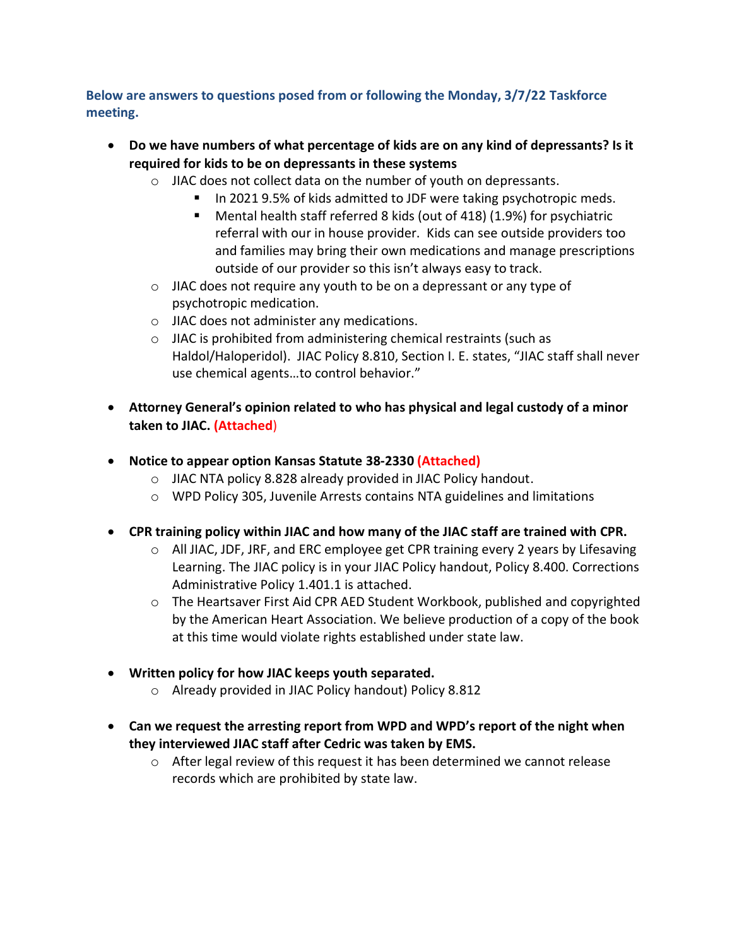**Below are answers to questions posed from or following the Monday, 3/7/22 Taskforce meeting.** 

- **Do we have numbers of what percentage of kids are on any kind of depressants? Is it required for kids to be on depressants in these systems**
	- o JIAC does not collect data on the number of youth on depressants.
		- In 2021 9.5% of kids admitted to JDF were taking psychotropic meds.
		- Mental health staff referred 8 kids (out of 418) (1.9%) for psychiatric referral with our in house provider. Kids can see outside providers too and families may bring their own medications and manage prescriptions outside of our provider so this isn't always easy to track.
	- $\circ$  JIAC does not require any youth to be on a depressant or any type of psychotropic medication.
	- o JIAC does not administer any medications.
	- o JIAC is prohibited from administering chemical restraints (such as Haldol/Haloperidol). JIAC Policy 8.810, Section I. E. states, "JIAC staff shall never use chemical agents…to control behavior."
- **Attorney General's opinion related to who has physical and legal custody of a minor taken to JIAC. (Attached**)
- **Notice to appear option Kansas Statute 38-2330 (Attached)** 
	- o JIAC NTA policy 8.828 already provided in JIAC Policy handout.
	- o WPD Policy 305, Juvenile Arrests contains NTA guidelines and limitations
- **CPR training policy within JIAC and how many of the JIAC staff are trained with CPR.**
	- $\circ$  All JIAC, JDF, JRF, and ERC employee get CPR training every 2 years by Lifesaving Learning. The JIAC policy is in your JIAC Policy handout, Policy 8.400. Corrections Administrative Policy 1.401.1 is attached.
	- $\circ$  The Heartsaver First Aid CPR AED Student Workbook, published and copyrighted by the American Heart Association. We believe production of a copy of the book at this time would violate rights established under state law.
- **Written policy for how JIAC keeps youth separated.**
	- o Already provided in JIAC Policy handout) Policy 8.812
- **Can we request the arresting report from WPD and WPD's report of the night when they interviewed JIAC staff after Cedric was taken by EMS.**
	- o After legal review of this request it has been determined we cannot release records which are prohibited by state law.